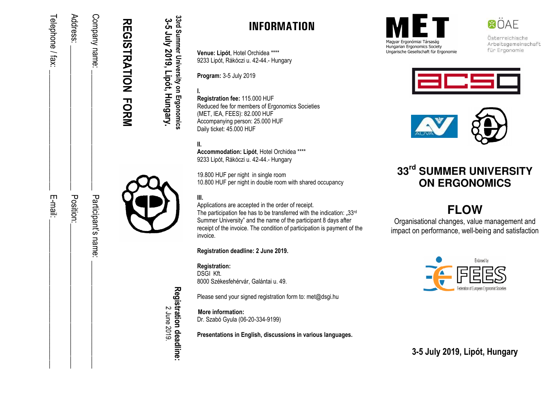| <b>REGISTRATION FORMS</b> |                     |
|---------------------------|---------------------|
| Company name:             | Participant's name: |
| Address:                  | Position:           |
| Telephone / fax:          | E-mail:             |

## **INFORMATION**

**Venue: Lipót**, Hotel Orchidea \*\*\*\*9233 Lipót, Rákóczi u. 42-44.- Hungary

**Program:** 3-5 July 2019

**33rd Summer University on Ergonomics 3-5 July 2019, Lipót, Hungary.** 

33rd Summer University on Ergonomics 3-5 July 2019, Lipót, Hungary.

**I. Registration fee:** 115.000 HUF Reduced fee for members of Ergonomics Societies (MET, IEA, FEES): 82.000 HUF Accompanying person: 25.000 HUF Daily ticket: 45.000 HUF

**II. Accommodation: Lipót**, Hotel Orchidea \*\*\*\*9233 Lipót, Rákóczi u. 42-44.- Hungary

19.800 HUF per night in single room 10.800 HUF per night in double room with shared occupancy

**III.** 

Applications are accepted in the order of receipt.

The participation fee has to be transferred with the indication: " $33<sup>rd</sup>$ Summer University" and the name of the participant 8 days after receipt of the invoice. The condition of participation is payment of the invoice.

**Registration deadline: 2 June 2019.** 

**Registration:** 

DSGI Kft. 8000 Székesfehérvár, Galántai u. 49.

Please send your signed registration form to: met@dsgi.hu

**More information:** Dr. Szabó Gyula (06-20-334-9199)

**Presentations in English, discussions in various languages.** 



Hungarian Ergonomics Society Ungarische Gesellschaft für Ergonomie Österreichische Arbeitsgemeinschaft für Ergonomie

**BÖAE** 





# **33rd SUMMER UNIVERSITY ON ERGONOMICS**

# **FLOW**

 Organisational changes, value management and impact on performance, well-being and satisfaction



**3-5 July 2019, Lipót, Hungary**

Registration deadline: **Registration deadline:** 2 June 2019.